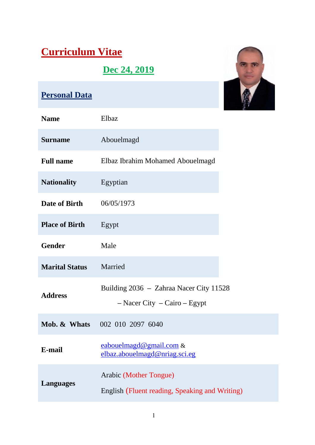# **Curriculum Vitae**

# **Dec 24, 2019**



# **Personal Data**

| <b>Name</b>           | Elbaz                                                                         |
|-----------------------|-------------------------------------------------------------------------------|
| <b>Surname</b>        | Abouelmagd                                                                    |
| <b>Full name</b>      | Elbaz Ibrahim Mohamed Abouelmagd                                              |
| <b>Nationality</b>    | Egyptian                                                                      |
| Date of Birth         | 06/05/1973                                                                    |
| <b>Place of Birth</b> | Egypt                                                                         |
| <b>Gender</b>         | Male                                                                          |
| <b>Marital Status</b> | Married                                                                       |
| <b>Address</b>        | Building 2036 - Zahraa Nacer City 11528<br>$-$ Nacer City $-$ Cairo $-$ Egypt |
|                       | <b>Mob. &amp; Whats</b> 002 010 2097 6040                                     |
| E-mail                | eabouelmagd@gmail.com &<br>elbaz.abouelmagd@nriag.sci.eg                      |
| <b>Languages</b>      | Arabic (Mother Tongue)<br>English (Fluent reading, Speaking and Writing)      |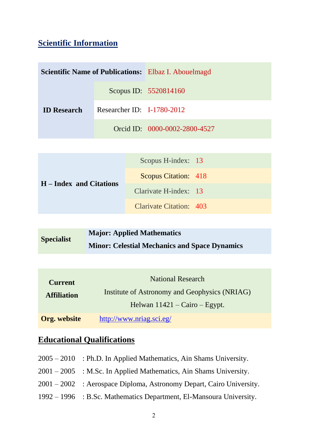# **Scientific Information**

| <b>Scientific Name of Publications:</b> Elbaz I. Abouelmagd |                              |                               |
|-------------------------------------------------------------|------------------------------|-------------------------------|
| <b>ID</b> Research                                          |                              | Scopus ID: 5520814160         |
|                                                             | Researcher ID: $I-1780-2012$ |                               |
|                                                             |                              | Orcid ID: 0000-0002-2800-4527 |
|                                                             |                              |                               |

|                         | Scopus H-index: 13          |  |
|-------------------------|-----------------------------|--|
| H – Index and Citations | <b>Scopus Citation: 418</b> |  |
|                         | Clarivate H-index: 13       |  |
|                         | Clarivate Citation: 403     |  |

| <b>Specialist</b> | Major: Applied Mathematics                           |
|-------------------|------------------------------------------------------|
|                   | <b>Minor: Celestial Mechanics and Space Dynamics</b> |

| <b>Current</b>      | <b>National Research</b>                       |  |
|---------------------|------------------------------------------------|--|
| <b>Affiliation</b>  | Institute of Astronomy and Geophysics (NRIAG)  |  |
|                     | Helwan $11421 - \text{Cairo} - \text{Egypt}$ . |  |
| <b>Org. website</b> | http://www.nriag.sci.eg/                       |  |

# **Educational Qualifications**

| $2005 - 2010$ : Ph.D. In Applied Mathematics, Ain Shams University.  |
|----------------------------------------------------------------------|
| $2001 - 2005$ : M.Sc. In Applied Mathematics, Ain Shams University.  |
| 2001 – 2002 : Aerospace Diploma, Astronomy Depart, Cairo University. |
| 1992 – 1996 : B.Sc. Mathematics Department, El-Mansoura University.  |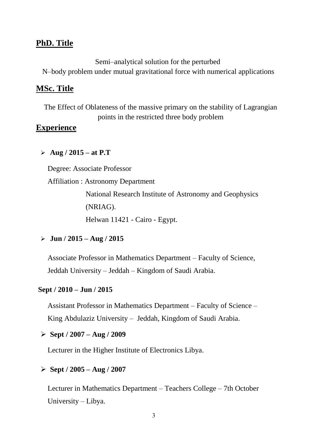#### **PhD. Title**

Semi–analytical solution for the perturbed

N–body problem under mutual gravitational force with numerical applications

#### **MSc. Title**

The Effect of Oblateness of the massive primary on the stability of Lagrangian points in the restricted three body problem

#### **Experience**

#### **Aug / 2015 – at P.T**

Degree: Associate Professor

Affiliation : Astronomy Department

National Research Institute of Astronomy and Geophysics (NRIAG).

Helwan 11421 - Cairo - Egypt.

#### **Jun / 2015 – Aug / 2015**

Associate Professor in Mathematics Department – Faculty of Science, Jeddah University – Jeddah – Kingdom of Saudi Arabia.

#### **Sept / 2010 – Jun / 2015**

Assistant Professor in Mathematics Department – Faculty of Science – King Abdulaziz University – Jeddah, Kingdom of Saudi Arabia.

#### **Sept / 2007 – Aug / 2009**

Lecturer in the Higher Institute of Electronics Libya.

#### **Sept / 2005 – Aug / 2007**

Lecturer in Mathematics Department – Teachers College – 7th October University – Libya.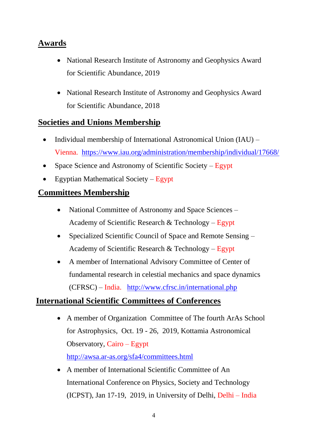# **Awards**

- National Research Institute of Astronomy and Geophysics Award for Scientific Abundance, 2019
- National Research Institute of Astronomy and Geophysics Award for Scientific Abundance, 2018

### **Societies and Unions Membership**

- Individual membership of International Astronomical Union (IAU) Vienna. <https://www.iau.org/administration/membership/individual/17668/>
- Space Science and Astronomy of Scientific Society Egypt
- Egyptian Mathematical Society Egypt

## **Committees Membership**

- National Committee of Astronomy and Space Sciences Academy of Scientific Research  $& Technology - Egypt$
- Specialized Scientific Council of Space and Remote Sensing Academy of Scientific Research & Technology – Egypt
- A member of International Advisory Committee of Center of fundamental research in celestial mechanics and space dynamics (CFRSC) – India. <http://www.cfrsc.in/international.php>

## **International Scientific Committees of Conferences**

- A member of Organization Committee of The fourth ArAs School for Astrophysics, Oct. 19 - 26, 2019, Kottamia Astronomical Observatory, Cairo – Egypt <http://awsa.ar-as.org/sfa4/committees.html>
- A member of International Scientific Committee of An International Conference on Physics, Society and Technology (ICPST), Jan 17-19, 2019, in University of Delhi, Delhi – India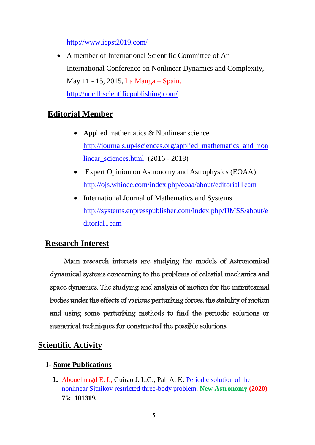<http://www.icpst2019.com/>

 A member of International Scientific Committee of An International Conference on Nonlinear Dynamics and Complexity, May 11 - 15, 2015, La Manga – Spain. <http://ndc.lhscientificpublishing.com/>

# **Editorial Member**

- Applied mathematics & Nonlinear science [http://journals.up4sciences.org/applied\\_mathematics\\_and\\_non](http://journals.up4sciences.org/applied_mathematics_and_nonlinear_sciences.html%20(201) linear sciences.html (2016 - 2018)
- Expert Opinion on Astronomy and Astrophysics (EOAA) <http://ojs.whioce.com/index.php/eoaa/about/editorialTeam>
- International Journal of Mathematics and Systems [http://systems.enpresspublisher.com/index.php/IJMSS/about/e](http://systems.enpresspublisher.com/index.php/IJMSS/about/editorialTeam) [ditorialTeam](http://systems.enpresspublisher.com/index.php/IJMSS/about/editorialTeam)

## **Research Interest**

 Main research interests are studying the models of Astronomical dynamical systems concerning to the problems of celestial mechanics and space dynamics. The studying and analysis of motion for the infinitesimal bodies under the effects of various perturbing forces, the stability of motion and using some perturbing methods to find the periodic solutions or numerical techniques for constructed the possible solutions.

## **Scientific Activity**

#### **1- Some Publications**

**1.** Abouelmagd E. I., Guirao J. L.G., Pal A. K. [Periodic solution of the](https://www.sciencedirect.com/science/article/pii/S1384107619302234)  [nonlinear Sitnikov restricted three-body problem.](https://www.sciencedirect.com/science/article/pii/S1384107619302234) **New Astronomy (2020) 75: 101319.**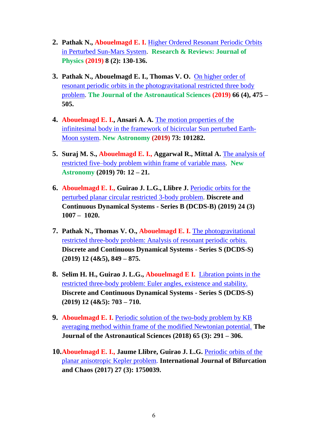- **2. Pathak N., Abouelmagd E. I.** [Higher Ordered Resonant Periodic Orbits](http://sciencejournals.stmjournals.in/index.php/RRJoPHY/article/view/2311)  [in Perturbed Sun-Mars System.](http://sciencejournals.stmjournals.in/index.php/RRJoPHY/article/view/2311) **Research & Reviews: Journal of Physics (2019) 8 (2): 130-136.**
- **3. Pathak N., Abouelmagd E. I., Thomas V. O.** [On higher order of](https://link.springer.com/article/10.1007/s40295-019-00178-z)  resonant periodic orbits [in the photogravitational restricted three body](https://link.springer.com/article/10.1007/s40295-019-00178-z)  [problem.](https://link.springer.com/article/10.1007/s40295-019-00178-z) **The Journal of the Astronautical Sciences (2019) 66 (4), 475 – 505.**
- **4. Abouelmagd E. I., Ansari A. A.** [The motion properties of the](https://www.sciencedirect.com/science/article/pii/S1384107619301472)  [infinitesimal body in the framework of bicircular Sun perturbed Earth-](https://www.sciencedirect.com/science/article/pii/S1384107619301472)[Moon system.](https://www.sciencedirect.com/science/article/pii/S1384107619301472) **New Astronomy (2019) 73: 101282.**
- **5. Suraj M. S., Abouelmagd E. I., Aggarwal R., Mittal A.** [The analysis of](https://www.sciencedirect.com/science/article/pii/S1384107618303245#!)  [restricted five–body problem within frame of variable mass.](https://www.sciencedirect.com/science/article/pii/S1384107618303245#!) **New Astronomy (2019) 70: 12 – 21.**
- **6. Abouelmagd E. I., Guirao J. L.G., Llibre J.** [Periodic orbits for the](http://aimsciences.org/article/doi/10.3934/dcdsb.2019003)  [perturbed planar circular restricted 3-body problem.](http://aimsciences.org/article/doi/10.3934/dcdsb.2019003) **Discrete and Continuous Dynamical Systems - Series B (DCDS-B) (2019) 24 (3) 1007 – 1020.**
- **7. Pathak N., Thomas V. O., Abouelmagd E. I.** [The photogravitational](http://aimsciences.org/article/doi/10.3934/dcdss.2019057?viewType=html)  [restricted three-body problem: Analysis of resonant periodic orbits.](http://aimsciences.org/article/doi/10.3934/dcdss.2019057?viewType=html) **Discrete and Continuous Dynamical Systems - Series S (DCDS-S) (2019) 12 (4&5), 849 – 875.**
- **8. Selim H. H., Guirao J. L.G., Abouelmagd E I.** [Libration points in the](http://aimsciences.org/article/doi/10.3934/dcdss.2019044)  [restricted three-body problem: Euler angles, existence and stability.](http://aimsciences.org/article/doi/10.3934/dcdss.2019044) **Discrete and Continuous Dynamical Systems - Series S (DCDS-S) (2019) 12 (4&5): 703 – 710.**
- **9. Abouelmagd E. I.** [Periodic solution of the two-body problem by KB](https://link.springer.com/article/10.1007/s40295-018-0128-x)  [averaging method within frame of the modified Newtonian potential.](https://link.springer.com/article/10.1007/s40295-018-0128-x) **The Journal of the Astronautical Sciences (2018) 65 (3): 291 – 306.**
- **10.Abouelmagd E. I., Jaume Llibre, Guirao J. L.G.** Periodic orbits of the planar anisotropic Kepler problem. **International Journal of Bifurcation and Chaos (2017) 27 (3): 1750039.**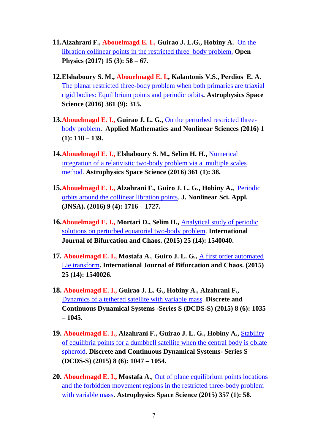- **11.Alzahrani F., Abouelmagd E. I., Guirao J. L.G., Hobiny A.** [On the](https://www.degruyter.com/view/j/phys.2017.15.issue-1/phys-2017-0007/phys-2017-0007.xml)  [libration collinear points in the](https://www.degruyter.com/view/j/phys.2017.15.issue-1/phys-2017-0007/phys-2017-0007.xml) restricted three–body problem. **Open Physics (2017) 15 (3): 58 – 67.**
- **12.Elshaboury S. M., Abouelmagd E. I., Kalantonis V.S., Perdios E. A.**  [The planar restricted three-body problem when both primaries are triaxial](http://link.springer.com/article/10.1007/s10509-016-2894-x/fulltext.html)  [rigid bodies: Equilibrium points and periodic orbits](http://link.springer.com/article/10.1007/s10509-016-2894-x/fulltext.html)**. Astrophysics Space Science (2016) 361 (9): 315.**
- **13.Abouelmagd E. I., Guirao J. L. G.,** [On the perturbed restricted three](http://journals.up4sciences.org/applied_mathematics_and_nonlinear_sciences/article/on_the_perturbed_restricted_three_body_problem.html)[body problem](http://journals.up4sciences.org/applied_mathematics_and_nonlinear_sciences/article/on_the_perturbed_restricted_three_body_problem.html)**. Applied Mathematics and Nonlinear Sciences (2016) 1 (1): 118 – 139.**
- **14.Abouelmagd E. I., Elshaboury S. M., Selim H. H.,** [Numerical](http://link.springer.com/article/10.1007/s10509-015-2625-8)  [integration of a relativistic two-body problem via a multiple scales](http://link.springer.com/article/10.1007/s10509-015-2625-8)  [method.](http://link.springer.com/article/10.1007/s10509-015-2625-8) **Astrophysics Space Science (2016) 361 (1): 38.**
- **15.Abouelmagd E. I., Alzahrani F., Guiro J. L. G., Hobiny A.,** [Periodic](http://www.emis.de/journals/TJNSA/includes/files/articles/Vol9_Iss4_1716--1727_Periodic_orbits_around_the_collinea.pdf)  orbits around the [collinear libration points.](http://www.emis.de/journals/TJNSA/includes/files/articles/Vol9_Iss4_1716--1727_Periodic_orbits_around_the_collinea.pdf) **J. Nonlinear Sci. Appl. (JNSA). (2016) 9 (4): 1716 – 1727.**
- **16.Abouelmagd E. I., Mortari D., Selim H.,** [Analytical study of periodic](http://www.worldscientific.com/doi/abs/10.1142/S0218127415400404)  [solutions on perturbed equatorial two-body problem.](http://www.worldscientific.com/doi/abs/10.1142/S0218127415400404) **International Journal of Bifurcation and Chaos. (2015) 25 (14): 1540040.**
- **17. Abouelmagd E. I., Mostafa A.**, **Guiro J. L. G.,** A [first order automated](http://www.worldscientific.com/doi/abs/10.1142/S021812741540026X)  [Lie transform](http://www.worldscientific.com/doi/abs/10.1142/S021812741540026X)**. International Journal of Bifurcation and Chaos. (2015) 25 (14): 1540026.**
- **18. Abouelmagd E. I., Guirao J. L. G., Hobiny A., Alzahrani F.,**  [Dynamics of a tethered satellite with variable mass.](http://www.aimsciences.org/journals/displayArticlesnew.jsp?paperID=12024) **Discrete and Continuous Dynamical Systems -Series S (DCDS-S) (2015) 8 (6): 1035 – 1045.**
- **19. Abouelmagd E. I., Alzahrani F., Guirao J. L. G., Hobiny A.,** [Stability](http://www.aimsciences.org/journals/displayArticlesnew.jsp?paperID=12025)  [of equilibria points for a dumbbell satellite when the central body is oblate](http://www.aimsciences.org/journals/displayArticlesnew.jsp?paperID=12025)  [spheroid.](http://www.aimsciences.org/journals/displayArticlesnew.jsp?paperID=12025) **Discrete and Continuous Dynamical Systems- Series S (DCDS-S) (2015) 8 (6): 1047 – 1054.**
- **20. Abouelmagd E. I., Mostafa A.**, [Out of plane equilibrium points locations](http://link.springer.com/article/10.1007/s10509-015-2294-7)  [and the forbidden movement regions in the restricted three-body problem](http://link.springer.com/article/10.1007/s10509-015-2294-7)  [with variable mass.](http://link.springer.com/article/10.1007/s10509-015-2294-7) **Astrophysics Space Science (2015) 357 (1): 58.**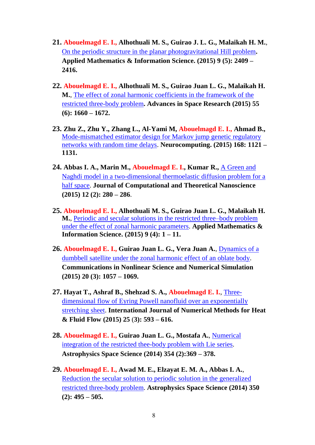- **21. Abouelmagd E. I., Alhothuali M. S., Guirao J. L. G., Malaikah H. M.**, [On the periodic structure in the planar photogravitational Hill problem](http://www.naturalspublishing.com/Article.asp?ArtcID=9550)**. Applied Mathematics & Information Science. (2015) 9 (5): 2409 – 2416.**
- **22. Abouelmagd E. I., Alhothuali M. S., Guirao Juan L. G., Malaikah H. M.**, [The effect of zonal harmonic coefficients in the framework of the](http://www.sciencedirect.com/science/article/pii/S0273117714008060)  [restricted three-body problem](http://www.sciencedirect.com/science/article/pii/S0273117714008060)**. Advances in Space Research (2015) 55 (6): 1660 – 1672.**
- **23. Zhu Z., Zhu Y., Zhang L., Al-Yami M, Abouelmagd E. I., Ahmad B.,**  [Mode-mismatched estimator design for Markov jump genetic regulatory](http://www.sciencedirect.com/science/article/pii/S0925231215006281)  [networks with random time delays.](http://www.sciencedirect.com/science/article/pii/S0925231215006281) **Neurocomputing. (2015) 168: 1121 – 1131.**
- **24. Abbas I. A., Marin M., Abouelmagd E. I., Kumar R.,** [A Green and](http://www.ingentaconnect.com/content/asp/jctn/2015/00000012/00000002/art00019)  [Naghdi model in a two-dimensional thermoelastic diffusion problem for a](http://www.ingentaconnect.com/content/asp/jctn/2015/00000012/00000002/art00019)  [half space.](http://www.ingentaconnect.com/content/asp/jctn/2015/00000012/00000002/art00019) **Journal of Computational and Theoretical Nanoscience (2015) 12 (2): 280 – 286**.
- **25. Abouelmagd E. I., Alhothuali M. S., Guirao Juan L. G., Malaikah H. M.**, [Periodic and secular solutions in the restricted three–body problem](http://www.naturalspublishing.com/Article.asp?ArtcID=9007)  [under the effect of zonal harmonic parameters.](http://www.naturalspublishing.com/Article.asp?ArtcID=9007) **Applied Mathematics & Information Science. (2015) 9 (4): 1 – 11.**
- **26. Abouelmagd E. I., Guirao Juan L. G., Vera Juan A.**, [Dynamics of a](http://www.sciencedirect.com/science/article/pii/S1007570414002962)  [dumbbell satellite under the zonal harmonic effect of an oblate body.](http://www.sciencedirect.com/science/article/pii/S1007570414002962) **Communications in Nonlinear Science and Numerical Simulation (2015) 20 (3): 1057 – 1069.**
- **27. Hayat T., Ashraf B., Shehzad S. A., Abouelmagd E. I.**, [Three](http://www.emeraldinsight.com/doi/abs/10.1108/HFF-05-2014-0118)[dimensional flow of Eyring Powell nanofluid over an exponentially](http://www.emeraldinsight.com/doi/abs/10.1108/HFF-05-2014-0118)  [stretching sheet.](http://www.emeraldinsight.com/doi/abs/10.1108/HFF-05-2014-0118) **International Journal of Numerical Methods for Heat & Fluid Flow (2015) 25** (**3): 593 – 616.**
- **28. Abouelmagd E. I., Guirao Juan L. G., Mostafa A.**, [Numerical](http://link.springer.com/article/10.1007%2Fs10509-014-2107-4)  [integration of the restricted thee-body problem with Lie series.](http://link.springer.com/article/10.1007%2Fs10509-014-2107-4) **Astrophysics Space Science (2014) 354 (2):369 – 378.**
- **29. Abouelmagd E. I., Awad M. E., Elzayat E. M. A., Abbas I. A.**, [Reduction the secular solution to periodic solution in the generalized](http://link.springer.com/article/10.1007/s10509-013-1756-z)  [restricted three-body problem.](http://link.springer.com/article/10.1007/s10509-013-1756-z) **Astrophysics Space Science (2014) 350 (2): 495 – 505.**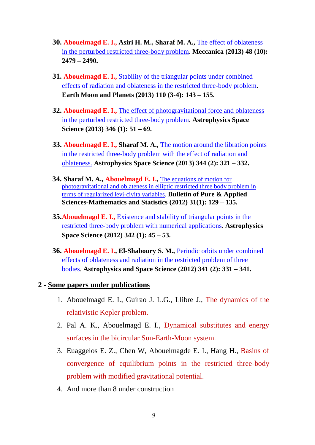- **30. Abouelmagd E. I., Asiri H. M., Sharaf M. A.,** The [effect of oblateness](http://link.springer.com/article/10.1007/s11012-013-9762-3)  [in the perturbed restricted three-body problem.](http://link.springer.com/article/10.1007/s11012-013-9762-3) **Meccanica (2013) 48 (10): 2479 – 2490.**
- **31. Abouelmagd E. I.,** [Stability of the triangular points under combined](http://link.springer.com/article/10.1007/s11038-013-9415-5)  [effects of radiation and oblateness in the restricted three-body problem.](http://link.springer.com/article/10.1007/s11038-013-9415-5) **Earth Moon and Planets (2013) 110 (3-4): 143 – 155.**
- **32. Abouelmagd E. I.,** [The effect of photogravitational force and oblateness](http://link.springer.com/article/10.1007/s10509-013-1439-9)  [in the perturbed restricted three-body problem.](http://link.springer.com/article/10.1007/s10509-013-1439-9) **Astrophysics Space Science (2013) 346 (1): 51 – 69.**
- **33. Abouelmagd E. I., Sharaf M. A.,** [The motion around the libration points](http://link.springer.com/article/10.1007/s10509-012-1335-8)  [in the restricted three-body problem with the effect of radiation and](http://link.springer.com/article/10.1007/s10509-012-1335-8)  [oblateness.](http://link.springer.com/article/10.1007/s10509-012-1335-8) **Astrophysics Space Science (2013) 344 (2): 321 – 332.**
- **34. Sharaf M. A., Abouelmagd E. I.,** [The equations of motion for](javascript:void(0))  [photogravitational and oblateness in elliptic restricted three body problem in](javascript:void(0))  [terms of regularized levi-civita variables.](javascript:void(0)) **Bulletin of Pure & Applied Sciences-Mathematics and Statistics (2012) 31(1): 129 – 135.**
- **35.Abouelmagd E. I.,** [Existence and stability of triangular points in the](http://link.springer.com/article/10.1007/s10509-012-1162-y)  [restricted three-body problem with numerical applications.](http://link.springer.com/article/10.1007/s10509-012-1162-y) **Astrophysics Space Science (2012) 342 (1): 45 – 53.**
- **36. Abouelmagd E. I., El-Shaboury S. M.,** [Periodic orbits under combined](http://link.springer.com/article/10.1007/s10509-012-1093-7)  [effects of oblateness and radiation in the restricted problem of three](http://link.springer.com/article/10.1007/s10509-012-1093-7)  [bodies.](http://link.springer.com/article/10.1007/s10509-012-1093-7) **Astrophysics and Space Science (2012) 341 (2): 331 – 341.**

#### **2 - Some papers under publications**

- 1. Abouelmagd E. I., Guirao J. L.G., Llibre J., The dynamics of the relativistic Kepler problem.
- 2. Pal A. K., Abouelmagd E. I., Dynamical substitutes and energy surfaces in the bicircular Sun-Earth-Moon system.
- 3. Euaggelos E. Z., Chen W, Abouelmagde E. I., Hang H., Basins of convergence of equilibrium points in the restricted three-body problem with modified gravitational potential.
- 4. And more than 8 under construction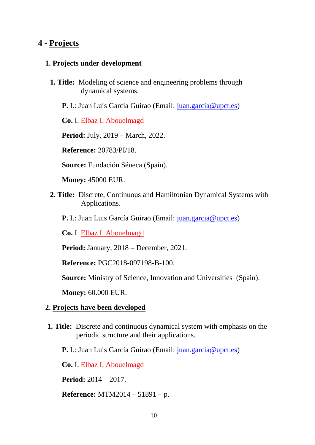#### **4 - Projects**

#### **1. Projects under development**

- **1. Title:** Modeling of science and engineering problems through dynamical systems.
	- **P.** I.: Juan Luis García Guirao (Email: [juan.garcia@upct.es\)](mailto:juan.garcia@upct.es)

**Co.** I. Elbaz I. Abouelmagd

**Period:** July, 2019 – March, 2022.

**Reference:** 20783/PI/18.

**Source:** Fundación Séneca (Spain).

**Money:** 45000 EUR.

- **2. Title:** Discrete, Continuous and Hamiltonian Dynamical Systems with Applications.
	- **P.** I.: Juan Luis García Guirao (Email: [juan.garcia@upct.es\)](mailto:juan.garcia@upct.es)

**Co.** I. Elbaz I. Abouelmagd

**Period:** January, 2018 – December, 2021.

**Reference:** PGC2018-097198-B-100.

**Source:** Ministry of Science, Innovation and Universities (Spain).

**Money:** 60.000 EUR.

#### **2. Projects have been developed**

- **1. Title:** Discrete and continuous dynamical system with emphasis on the periodic structure and their applications.
	- **P.** I.: Juan Luis García Guirao (Email: *juan.garcia@upct.es*)

**Co.** I. Elbaz I. Abouelmagd

**Period:** 2014 – 2017.

**Reference:** MTM2014 – 51891 – p.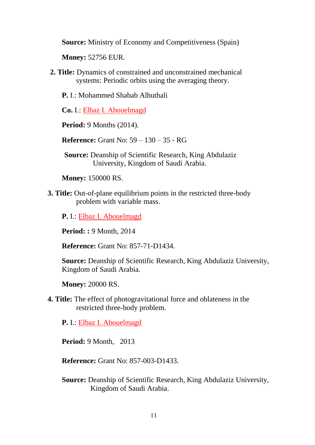**Source:** Ministry of Economy and Competitiveness (Spain)

**Money:** 52756 EUR.

**2. Title:** Dynamics of constrained and unconstrained mechanical systems: Periodic orbits using the averaging theory.

**P.** I.: Mohammed Shabab Alhuthali

**Co.** I.: Elbaz I. Abouelmagd

**Period:** 9 Months (2014).

**Reference:** Grant No: 59 – 130 – 35 - RG

**Source:** Deanship of Scientific Research, King Abdulaziz University, Kingdom of Saudi Arabia.

**Money:** 150000 RS.

**3. Title:** Out-of-plane equilibrium points in the restricted three-body problem with variable mass.

**P.** I.: Elbaz I. Abouelmagd

**Period: :** 9 Month, 2014

**Reference:** Grant No: 857-71-D1434.

**Source:** Deanship of Scientific Research, King Abdulaziz University, Kingdom of Saudi Arabia.

**Money:** 20000 RS.

**4. Title:** The effect of photogravitational force and oblateness in the restricted three-body problem.

**P.** I.: Elbaz I. Abouelmagd

**Period:** 9 Month, 2013

**Reference:** Grant No: 857-003-D1433.

**Source:** Deanship of Scientific Research, King Abdulaziz University, Kingdom of Saudi Arabia.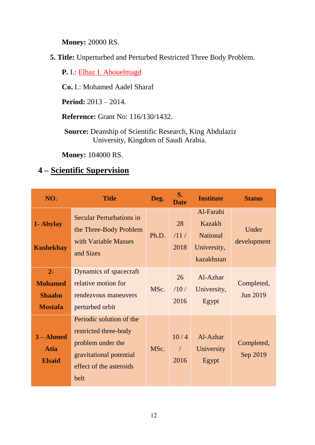**Money:** 20000 RS.

**5. Title:** Unperturbed and Perturbed Restricted Three Body Problem.

**P.** I.: Elbaz I. Abouelmagd

**Co.** I.: Mohamed Aadel Sharaf

**Period:** 2013 – 2014.

**Reference:** Grant No: 116/130/1432.

**Source:** Deanship of Scientific Research, King Abdulaziz University, Kingdom of Saudi Arabia.

**Money:** 104000 RS.

# **4 – Scientific Supervision**

| NO.                                                        | <b>Title</b>                                                                                                                         | Deg.  | S.<br>Date                 | <b>Institute</b>                                                           | <b>Status</b>                 |
|------------------------------------------------------------|--------------------------------------------------------------------------------------------------------------------------------------|-------|----------------------------|----------------------------------------------------------------------------|-------------------------------|
| 1- Abylay<br><b>Kushekbay</b>                              | <b>Secular Perturbations in</b><br>the Three-Body Problem<br>with Variable Masses<br>and Sizes                                       | Ph.D. | 28<br>/11/<br>2018         | Al-Farabi<br><b>Kazakh</b><br><b>National</b><br>University,<br>kazakhstan | Under<br>development          |
| $2 -$<br><b>Mohamed</b><br><b>Shaabn</b><br><b>Mostafa</b> | Dynamics of spacecraft<br>relative motion for<br>rendezvous maneuvers<br>perturbed orbit                                             | MSc.  | 26<br>/10/<br>2016         | Al-Azhar<br>University,<br>Egypt                                           | Completed,<br><b>Jun 2019</b> |
| $3 - Ahmed$<br><b>Atia</b><br><b>Elsaid</b>                | Periodic solution of the<br>restricted three-body<br>problem under the<br>gravitational potential<br>effect of the asteroids<br>belt | MSc.  | 10/4<br>$\sqrt{2}$<br>2016 | Al-Azhar<br>University<br>Egypt                                            | Completed,<br>Sep 2019        |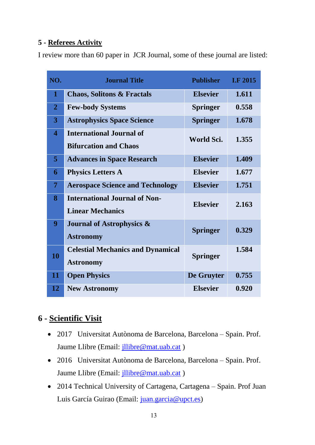#### **5 - Referees Activity**

I review more than 60 paper in JCR Journal, some of these journal are listed:

| NO.                     | <b>Journal Title</b>                     | <b>Publisher</b> | <b>I.F 2015</b> |  |
|-------------------------|------------------------------------------|------------------|-----------------|--|
| $\mathbf 1$             | <b>Chaos, Solitons &amp; Fractals</b>    | <b>Elsevier</b>  | 1.611           |  |
| $\overline{2}$          | <b>Few-body Systems</b>                  | <b>Springer</b>  | 0.558           |  |
| 3                       | <b>Astrophysics Space Science</b>        | <b>Springer</b>  | 1.678           |  |
| $\overline{\mathbf{4}}$ | <b>International Journal of</b>          | World Sci.       | 1.355           |  |
|                         | <b>Bifurcation and Chaos</b>             |                  |                 |  |
| 5                       | <b>Advances in Space Research</b>        | <b>Elsevier</b>  | 1.409           |  |
| 6                       | <b>Physics Letters A</b>                 | <b>Elsevier</b>  | 1.677           |  |
| $\overline{7}$          | <b>Aerospace Science and Technology</b>  | <b>Elsevier</b>  | 1.751           |  |
| 8                       | <b>International Journal of Non-</b>     | <b>Elsevier</b>  | 2.163           |  |
|                         | <b>Linear Mechanics</b>                  |                  |                 |  |
| 9                       | <b>Journal of Astrophysics &amp;</b>     | <b>Springer</b>  | 0.329           |  |
|                         | <b>Astronomy</b>                         |                  |                 |  |
| 10                      | <b>Celestial Mechanics and Dynamical</b> | <b>Springer</b>  | 1.584           |  |
|                         | <b>Astronomy</b>                         |                  |                 |  |
| 11                      | <b>Open Physics</b>                      | De Gruyter       | 0.755           |  |
| 12                      | <b>New Astronomy</b>                     | <b>Elsevier</b>  | 0.920           |  |

# **6 - Scientific Visit**

- 2017 Universitat Autònoma de Barcelona, Barcelona Spain. Prof. Jaume Llibre (Email: [jllibre@mat.uab.cat](mailto:jllibre@mat.uab.cat))
- 2016 Universitat Autònoma de Barcelona, Barcelona Spain. Prof. Jaume Llibre (Email: [jllibre@mat.uab.cat](mailto:jllibre@mat.uab.cat) )
- 2014 Technical University of Cartagena, Cartagena Spain. Prof Juan Luis García Guirao (Email: [juan.garcia@upct.es\)](mailto:juan.garcia@upct.es)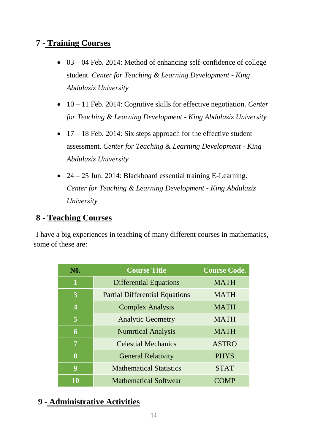## **7 - Training Courses**

- $\bullet$  03 04 Feb. 2014: Method of enhancing self-confidence of college student. *Center for Teaching & Learning Development - King Abdulaziz University*
- 10 11 Feb. 2014: Cognitive skills for effective negotiation. *Center for Teaching & Learning Development - King Abdulaziz University*
- $\bullet$  17 18 Feb. 2014: Six steps approach for the effective student assessment. *Center for Teaching & Learning Development - King Abdulaziz University*
- 24 25 Jun. 2014: Blackboard essential training E-Learning. *Center for Teaching & Learning Development - King Abdulaziz University*

## **8 - Teaching Courses**

I have a big experiences in teaching of many different courses in mathematics, some of these are:

| <b>N0.</b> | <b>Course Title</b>                   | <b>Course Code.</b> |
|------------|---------------------------------------|---------------------|
| 1          | <b>Differential Equations</b>         | <b>MATH</b>         |
| 3          | <b>Partial Differential Equations</b> | <b>MATH</b>         |
| 4          | <b>Complex Analysis</b>               | <b>MATH</b>         |
| 5          | <b>Analytic Geometry</b>              | <b>MATH</b>         |
| 6          | <b>Numrtical Analysis</b>             | <b>MATH</b>         |
| 7          | <b>Celestial Mechanics</b>            | <b>ASTRO</b>        |
| 8          | <b>General Relativity</b>             | <b>PHYS</b>         |
| 9          | <b>Mathematical Statistics</b>        | <b>STAT</b>         |
| 10         | <b>Mathematical Softwear</b>          |                     |

# **9 - Administrative Activities**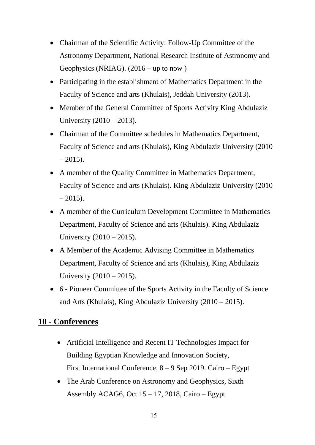- Chairman of the Scientific Activity: Follow-Up Committee of the Astronomy Department, National Research Institute of Astronomy and Geophysics (NRIAG). (2016 – up to now )
- Participating in the establishment of Mathematics Department in the Faculty of Science and arts (Khulais), Jeddah University (2013).
- Member of the General Committee of Sports Activity King Abdulaziz University (2010 – 2013).
- Chairman of the Committee schedules in Mathematics Department, Faculty of Science and arts (Khulais), King Abdulaziz University (2010  $-2015$ ).
- A member of the Quality Committee in Mathematics Department, Faculty of Science and arts (Khulais). King Abdulaziz University (2010  $-2015$ ).
- A member of the Curriculum Development Committee in Mathematics Department, Faculty of Science and arts (Khulais). King Abdulaziz University (2010 – 2015).
- A Member of the Academic Advising Committee in Mathematics Department, Faculty of Science and arts (Khulais), King Abdulaziz University (2010 – 2015).
- 6 Pioneer Committee of the Sports Activity in the Faculty of Science and Arts (Khulais), King Abdulaziz University (2010 – 2015).

## **10 - Conferences**

- Artificial Intelligence and Recent IT Technologies Impact for Building Egyptian Knowledge and Innovation Society, First International Conference, 8 – 9 Sep 2019. Cairo – Egypt
- The Arab Conference on Astronomy and Geophysics, Sixth Assembly ACAG6, Oct  $15 - 17$ , 2018, Cairo – Egypt